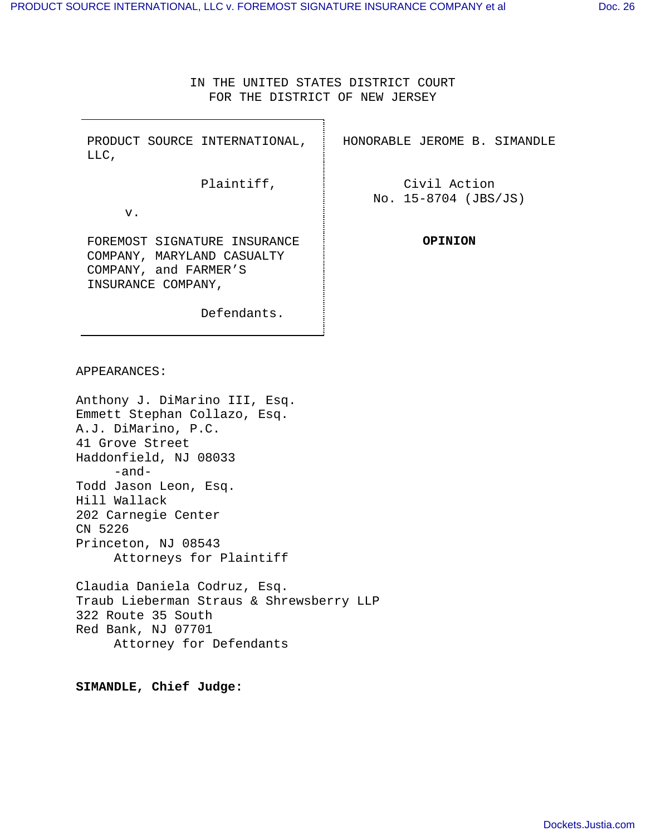IN THE UNITED STATES DISTRICT COURT FOR THE DISTRICT OF NEW JERSEY

٦

| PRODUCT SOURCE INTERNATIONAL,<br>LLC,                                                                     | HONORABLE JEROME B. SIMANDLE         |
|-----------------------------------------------------------------------------------------------------------|--------------------------------------|
| Plaintiff,                                                                                                | Civil Action<br>No. 15-8704 (JBS/JS) |
| v.                                                                                                        |                                      |
| FOREMOST SIGNATURE INSURANCE<br>COMPANY, MARYLAND CASUALTY<br>COMPANY, and FARMER'S<br>INSURANCE COMPANY, | OPINION                              |
| Defendants.                                                                                               |                                      |

APPEARANCES:

Anthony J. DiMarino III, Esq. Emmett Stephan Collazo, Esq. A.J. DiMarino, P.C. 41 Grove Street Haddonfield, NJ 08033 -and-Todd Jason Leon, Esq. Hill Wallack 202 Carnegie Center CN 5226 Princeton, NJ 08543 Attorneys for Plaintiff

Claudia Daniela Codruz, Esq. Traub Lieberman Straus & Shrewsberry LLP 322 Route 35 South Red Bank, NJ 07701 Attorney for Defendants

**SIMANDLE, Chief Judge:**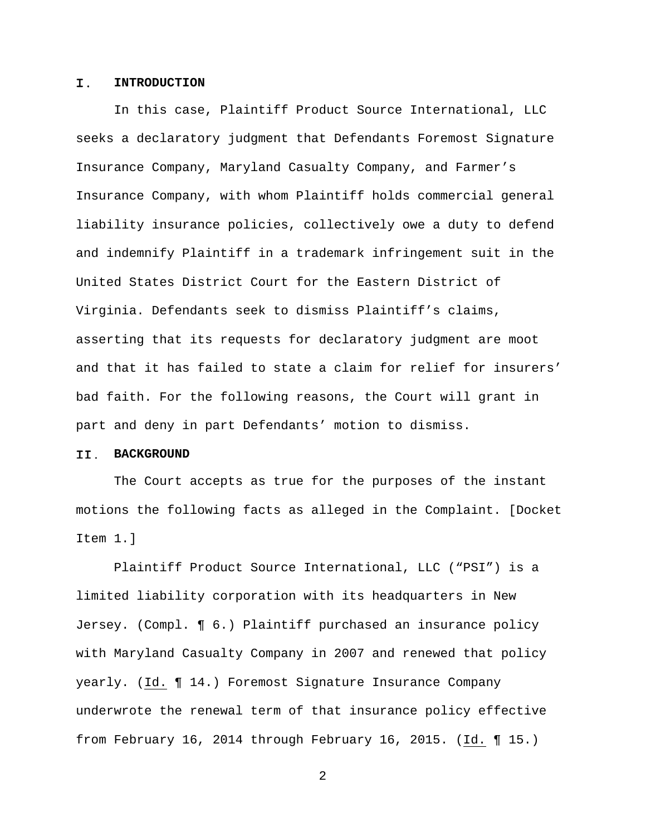#### Ι. **INTRODUCTION**

 In this case, Plaintiff Product Source International, LLC seeks a declaratory judgment that Defendants Foremost Signature Insurance Company, Maryland Casualty Company, and Farmer's Insurance Company, with whom Plaintiff holds commercial general liability insurance policies, collectively owe a duty to defend and indemnify Plaintiff in a trademark infringement suit in the United States District Court for the Eastern District of Virginia. Defendants seek to dismiss Plaintiff's claims, asserting that its requests for declaratory judgment are moot and that it has failed to state a claim for relief for insurers' bad faith. For the following reasons, the Court will grant in part and deny in part Defendants' motion to dismiss.

#### II. **BACKGROUND**

 The Court accepts as true for the purposes of the instant motions the following facts as alleged in the Complaint. [Docket Item 1.]

 Plaintiff Product Source International, LLC ("PSI") is a limited liability corporation with its headquarters in New Jersey. (Compl. ¶ 6.) Plaintiff purchased an insurance policy with Maryland Casualty Company in 2007 and renewed that policy yearly. (Id. ¶ 14.) Foremost Signature Insurance Company underwrote the renewal term of that insurance policy effective from February 16, 2014 through February 16, 2015. (Id. ¶ 15.)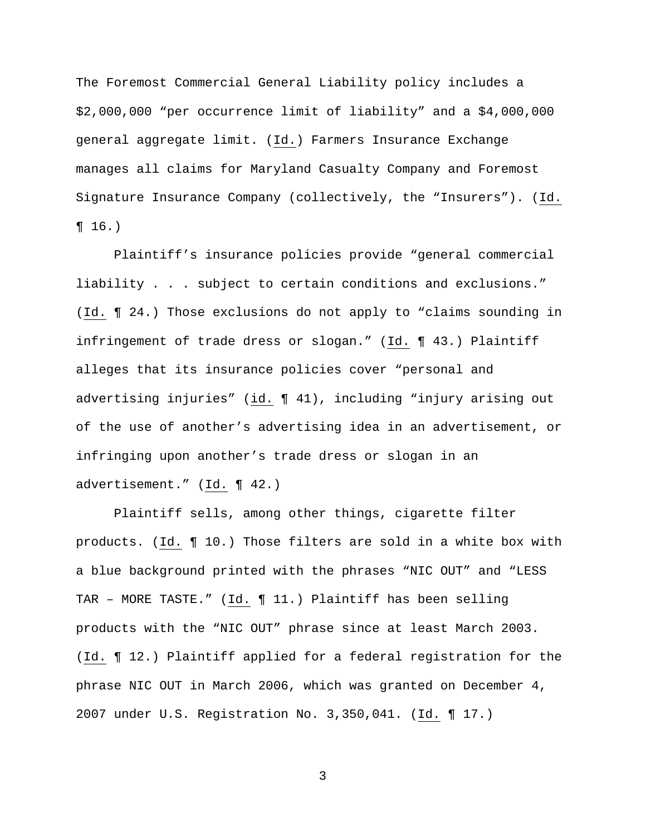The Foremost Commercial General Liability policy includes a \$2,000,000 "per occurrence limit of liability" and a \$4,000,000 general aggregate limit. (Id.) Farmers Insurance Exchange manages all claims for Maryland Casualty Company and Foremost Signature Insurance Company (collectively, the "Insurers"). (Id.  $\P 16.$ 

 Plaintiff's insurance policies provide "general commercial liability . . . subject to certain conditions and exclusions." (Id. ¶ 24.) Those exclusions do not apply to "claims sounding in infringement of trade dress or slogan." (Id. ¶ 43.) Plaintiff alleges that its insurance policies cover "personal and advertising injuries" (id. ¶ 41), including "injury arising out of the use of another's advertising idea in an advertisement, or infringing upon another's trade dress or slogan in an advertisement." (Id. ¶ 42.)

 Plaintiff sells, among other things, cigarette filter products. (Id. ¶ 10.) Those filters are sold in a white box with a blue background printed with the phrases "NIC OUT" and "LESS TAR – MORE TASTE." (Id. ¶ 11.) Plaintiff has been selling products with the "NIC OUT" phrase since at least March 2003. (Id. ¶ 12.) Plaintiff applied for a federal registration for the phrase NIC OUT in March 2006, which was granted on December 4, 2007 under U.S. Registration No. 3,350,041. (Id. ¶ 17.)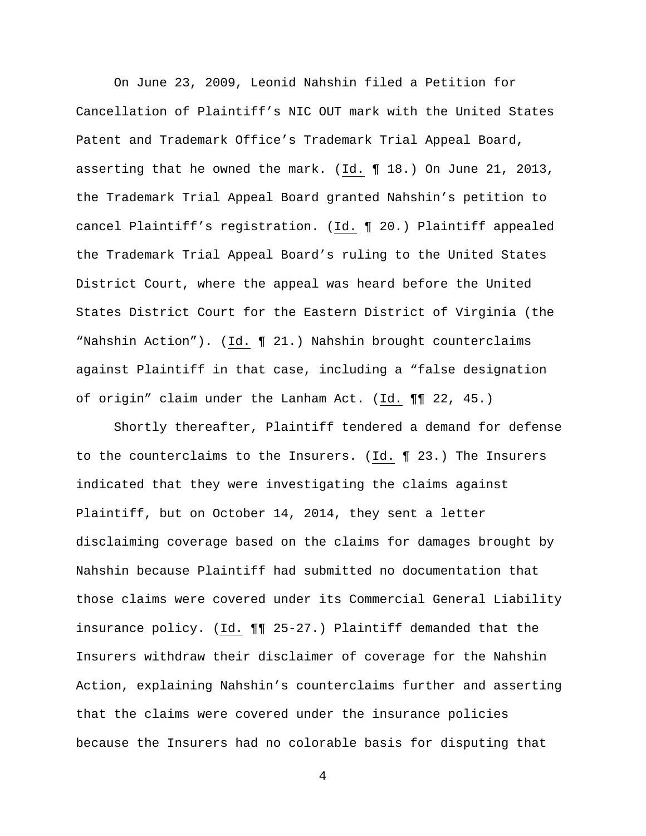On June 23, 2009, Leonid Nahshin filed a Petition for Cancellation of Plaintiff's NIC OUT mark with the United States Patent and Trademark Office's Trademark Trial Appeal Board, asserting that he owned the mark. (Id. ¶ 18.) On June 21, 2013, the Trademark Trial Appeal Board granted Nahshin's petition to cancel Plaintiff's registration. (Id. ¶ 20.) Plaintiff appealed the Trademark Trial Appeal Board's ruling to the United States District Court, where the appeal was heard before the United States District Court for the Eastern District of Virginia (the "Nahshin Action"). (Id. ¶ 21.) Nahshin brought counterclaims against Plaintiff in that case, including a "false designation of origin" claim under the Lanham Act. (Id. ¶¶ 22, 45.)

 Shortly thereafter, Plaintiff tendered a demand for defense to the counterclaims to the Insurers. (Id. ¶ 23.) The Insurers indicated that they were investigating the claims against Plaintiff, but on October 14, 2014, they sent a letter disclaiming coverage based on the claims for damages brought by Nahshin because Plaintiff had submitted no documentation that those claims were covered under its Commercial General Liability insurance policy. (Id. ¶¶ 25-27.) Plaintiff demanded that the Insurers withdraw their disclaimer of coverage for the Nahshin Action, explaining Nahshin's counterclaims further and asserting that the claims were covered under the insurance policies because the Insurers had no colorable basis for disputing that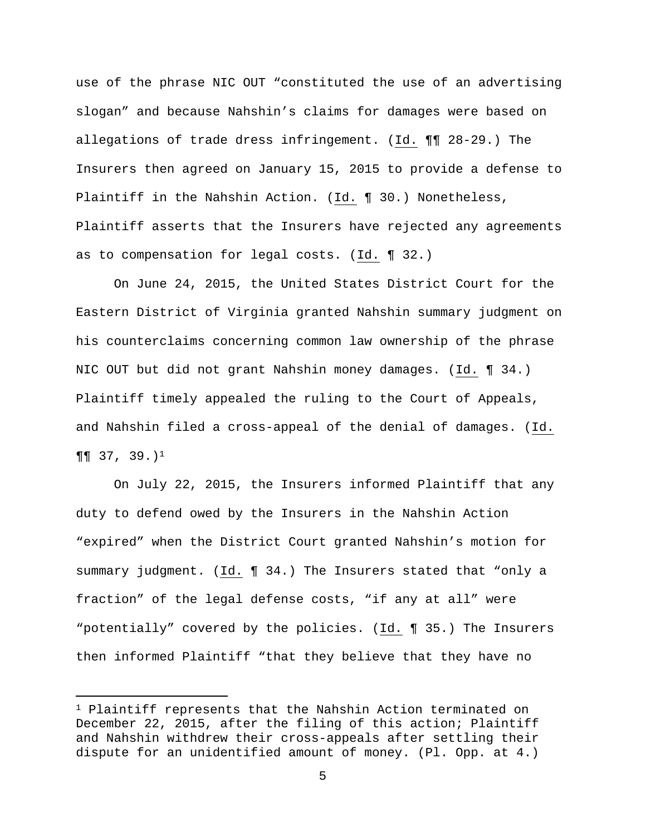use of the phrase NIC OUT "constituted the use of an advertising slogan" and because Nahshin's claims for damages were based on allegations of trade dress infringement. (Id. ¶¶ 28-29.) The Insurers then agreed on January 15, 2015 to provide a defense to Plaintiff in the Nahshin Action. (Id. ¶ 30.) Nonetheless, Plaintiff asserts that the Insurers have rejected any agreements as to compensation for legal costs. (Id. ¶ 32.)

 On June 24, 2015, the United States District Court for the Eastern District of Virginia granted Nahshin summary judgment on his counterclaims concerning common law ownership of the phrase NIC OUT but did not grant Nahshin money damages. (Id. ¶ 34.) Plaintiff timely appealed the ruling to the Court of Appeals, and Nahshin filed a cross-appeal of the denial of damages. (Id.  $\P\P$  37, 39.)<sup>1</sup>

 On July 22, 2015, the Insurers informed Plaintiff that any duty to defend owed by the Insurers in the Nahshin Action "expired" when the District Court granted Nahshin's motion for summary judgment. (Id. ¶ 34.) The Insurers stated that "only a fraction" of the legal defense costs, "if any at all" were "potentially" covered by the policies. (Id. ¶ 35.) The Insurers then informed Plaintiff "that they believe that they have no

e<br>S

<sup>1</sup> Plaintiff represents that the Nahshin Action terminated on December 22, 2015, after the filing of this action; Plaintiff and Nahshin withdrew their cross-appeals after settling their dispute for an unidentified amount of money. (Pl. Opp. at 4.)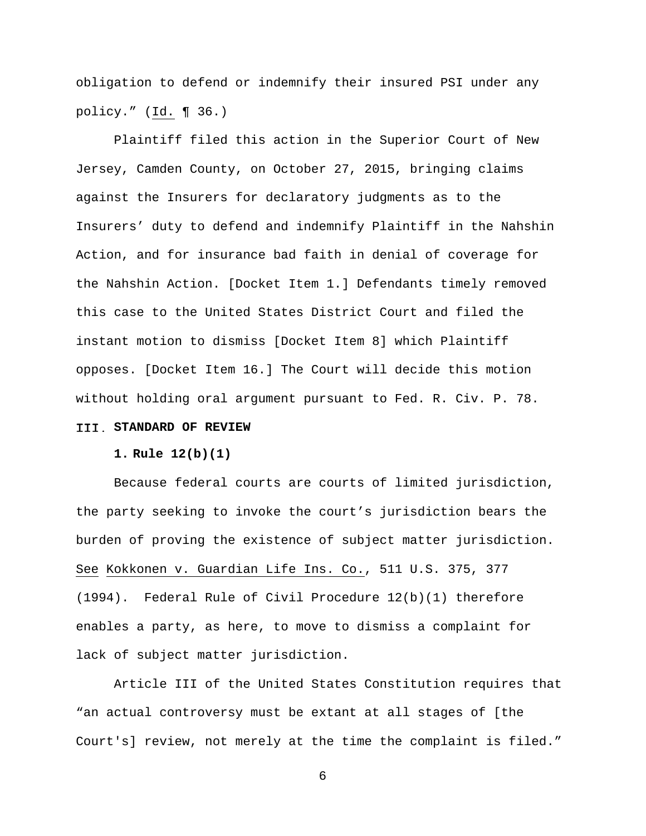obligation to defend or indemnify their insured PSI under any policy." (Id. ¶ 36.)

 Plaintiff filed this action in the Superior Court of New Jersey, Camden County, on October 27, 2015, bringing claims against the Insurers for declaratory judgments as to the Insurers' duty to defend and indemnify Plaintiff in the Nahshin Action, and for insurance bad faith in denial of coverage for the Nahshin Action. [Docket Item 1.] Defendants timely removed this case to the United States District Court and filed the instant motion to dismiss [Docket Item 8] which Plaintiff opposes. [Docket Item 16.] The Court will decide this motion without holding oral argument pursuant to Fed. R. Civ. P. 78.

## **STANDARD OF REVIEW**

### **1. Rule 12(b)(1)**

 Because federal courts are courts of limited jurisdiction, the party seeking to invoke the court's jurisdiction bears the burden of proving the existence of subject matter jurisdiction. See Kokkonen v. Guardian Life Ins. Co., 511 U.S. 375, 377 (1994). Federal Rule of Civil Procedure 12(b)(1) therefore enables a party, as here, to move to dismiss a complaint for lack of subject matter jurisdiction.

 Article III of the United States Constitution requires that "an actual controversy must be extant at all stages of [the Court's] review, not merely at the time the complaint is filed."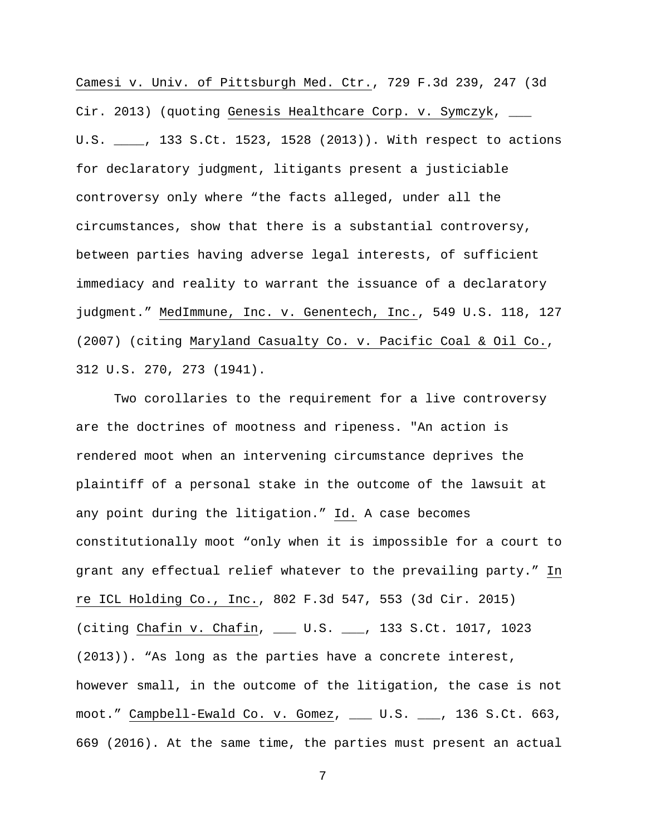Camesi v. Univ. of Pittsburgh Med. Ctr., 729 F.3d 239, 247 (3d Cir. 2013) (quoting Genesis Healthcare Corp. v. Symczyk, \_\_\_ U.S. \_\_\_\_, 133 S.Ct. 1523, 1528 (2013)). With respect to actions for declaratory judgment, litigants present a justiciable controversy only where "the facts alleged, under all the circumstances, show that there is a substantial controversy, between parties having adverse legal interests, of sufficient immediacy and reality to warrant the issuance of a declaratory judgment." MedImmune, Inc. v. Genentech, Inc., 549 U.S. 118, 127 (2007) (citing Maryland Casualty Co. v. Pacific Coal & Oil Co., 312 U.S. 270, 273 (1941).

 Two corollaries to the requirement for a live controversy are the doctrines of mootness and ripeness. "An action is rendered moot when an intervening circumstance deprives the plaintiff of a personal stake in the outcome of the lawsuit at any point during the litigation." Id. A case becomes constitutionally moot "only when it is impossible for a court to grant any effectual relief whatever to the prevailing party." In re ICL Holding Co., Inc., 802 F.3d 547, 553 (3d Cir. 2015) (citing Chafin v. Chafin, \_\_\_ U.S. \_\_\_, 133 S.Ct. 1017, 1023 (2013)). "As long as the parties have a concrete interest, however small, in the outcome of the litigation, the case is not moot." Campbell-Ewald Co. v. Gomez, \_\_\_ U.S. \_\_\_, 136 S.Ct. 663, 669 (2016). At the same time, the parties must present an actual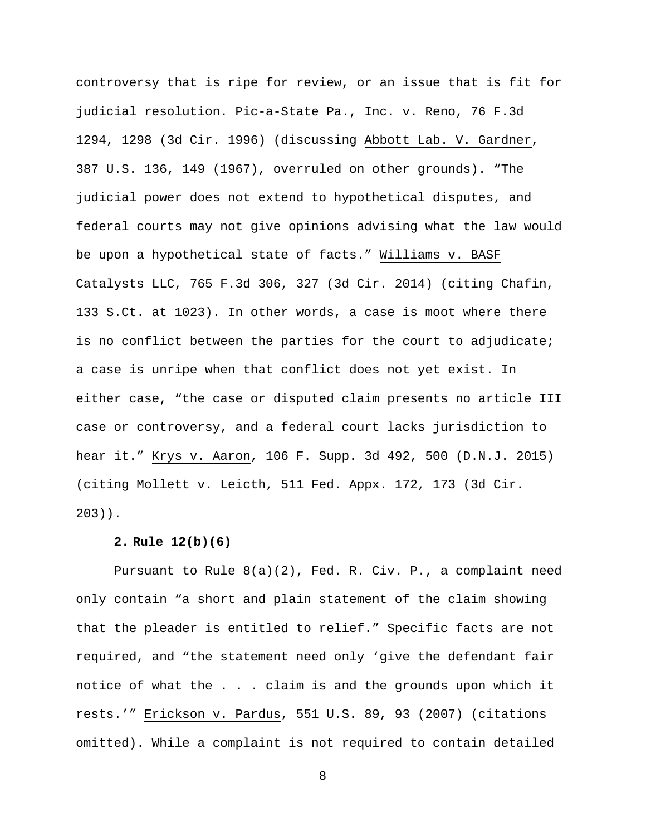controversy that is ripe for review, or an issue that is fit for judicial resolution. Pic-a-State Pa., Inc. v. Reno, 76 F.3d 1294, 1298 (3d Cir. 1996) (discussing Abbott Lab. V. Gardner, 387 U.S. 136, 149 (1967), overruled on other grounds). "The judicial power does not extend to hypothetical disputes, and federal courts may not give opinions advising what the law would be upon a hypothetical state of facts." Williams v. BASF Catalysts LLC, 765 F.3d 306, 327 (3d Cir. 2014) (citing Chafin, 133 S.Ct. at 1023). In other words, a case is moot where there is no conflict between the parties for the court to adjudicate; a case is unripe when that conflict does not yet exist. In either case, "the case or disputed claim presents no article III case or controversy, and a federal court lacks jurisdiction to hear it." Krys v. Aaron, 106 F. Supp. 3d 492, 500 (D.N.J. 2015) (citing Mollett v. Leicth, 511 Fed. Appx. 172, 173 (3d Cir. 203)).

# **2. Rule 12(b)(6)**

 Pursuant to Rule 8(a)(2), Fed. R. Civ. P., a complaint need only contain "a short and plain statement of the claim showing that the pleader is entitled to relief." Specific facts are not required, and "the statement need only 'give the defendant fair notice of what the . . . claim is and the grounds upon which it rests.'" Erickson v. Pardus, 551 U.S. 89, 93 (2007) (citations omitted). While a complaint is not required to contain detailed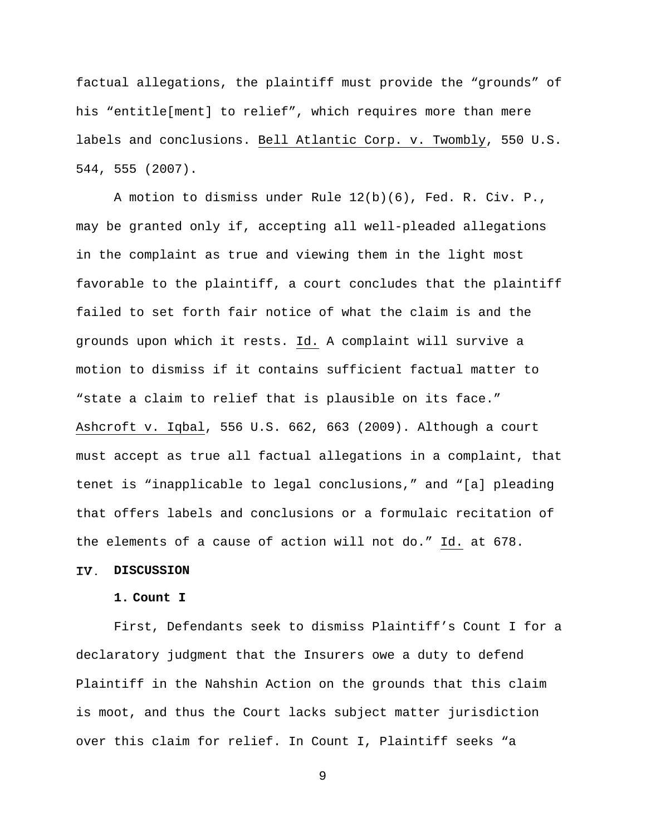factual allegations, the plaintiff must provide the "grounds" of his "entitle[ment] to relief", which requires more than mere labels and conclusions. Bell Atlantic Corp. v. Twombly, 550 U.S. 544, 555 (2007).

 A motion to dismiss under Rule 12(b)(6), Fed. R. Civ. P., may be granted only if, accepting all well-pleaded allegations in the complaint as true and viewing them in the light most favorable to the plaintiff, a court concludes that the plaintiff failed to set forth fair notice of what the claim is and the grounds upon which it rests. Id. A complaint will survive a motion to dismiss if it contains sufficient factual matter to "state a claim to relief that is plausible on its face." Ashcroft v. Iqbal, 556 U.S. 662, 663 (2009). Although a court must accept as true all factual allegations in a complaint, that tenet is "inapplicable to legal conclusions," and "[a] pleading that offers labels and conclusions or a formulaic recitation of the elements of a cause of action will not do." Id. at 678.

### **DISCUSSION**

# **1. Count I**

 First, Defendants seek to dismiss Plaintiff's Count I for a declaratory judgment that the Insurers owe a duty to defend Plaintiff in the Nahshin Action on the grounds that this claim is moot, and thus the Court lacks subject matter jurisdiction over this claim for relief. In Count I, Plaintiff seeks "a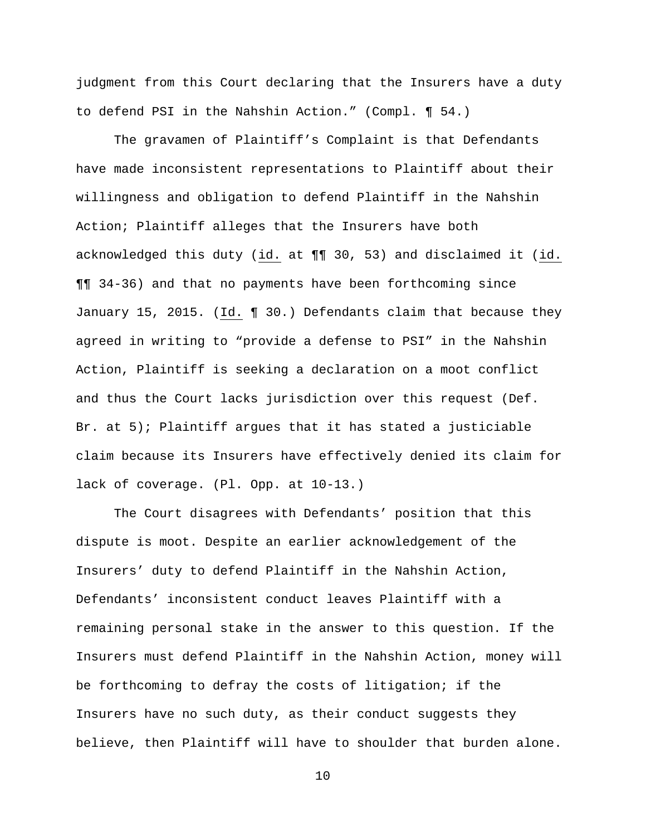judgment from this Court declaring that the Insurers have a duty to defend PSI in the Nahshin Action." (Compl. ¶ 54.)

 The gravamen of Plaintiff's Complaint is that Defendants have made inconsistent representations to Plaintiff about their willingness and obligation to defend Plaintiff in the Nahshin Action; Plaintiff alleges that the Insurers have both acknowledged this duty (id. at ¶¶ 30, 53) and disclaimed it (id. ¶¶ 34-36) and that no payments have been forthcoming since January 15, 2015. (Id. ¶ 30.) Defendants claim that because they agreed in writing to "provide a defense to PSI" in the Nahshin Action, Plaintiff is seeking a declaration on a moot conflict and thus the Court lacks jurisdiction over this request (Def. Br. at 5); Plaintiff argues that it has stated a justiciable claim because its Insurers have effectively denied its claim for lack of coverage. (Pl. Opp. at 10-13.)

 The Court disagrees with Defendants' position that this dispute is moot. Despite an earlier acknowledgement of the Insurers' duty to defend Plaintiff in the Nahshin Action, Defendants' inconsistent conduct leaves Plaintiff with a remaining personal stake in the answer to this question. If the Insurers must defend Plaintiff in the Nahshin Action, money will be forthcoming to defray the costs of litigation; if the Insurers have no such duty, as their conduct suggests they believe, then Plaintiff will have to shoulder that burden alone.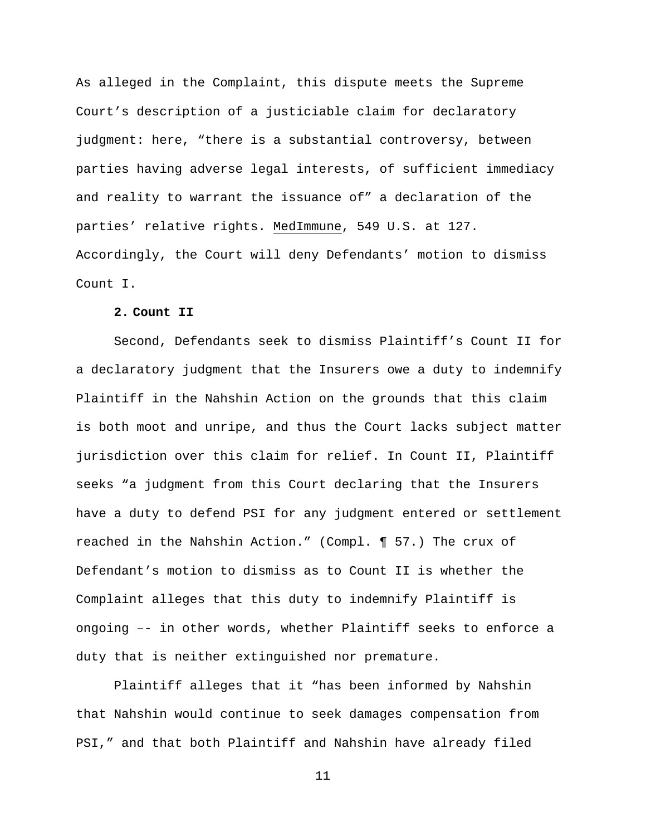As alleged in the Complaint, this dispute meets the Supreme Court's description of a justiciable claim for declaratory judgment: here, "there is a substantial controversy, between parties having adverse legal interests, of sufficient immediacy and reality to warrant the issuance of" a declaration of the parties' relative rights. MedImmune, 549 U.S. at 127. Accordingly, the Court will deny Defendants' motion to dismiss Count I.

### **2. Count II**

 Second, Defendants seek to dismiss Plaintiff's Count II for a declaratory judgment that the Insurers owe a duty to indemnify Plaintiff in the Nahshin Action on the grounds that this claim is both moot and unripe, and thus the Court lacks subject matter jurisdiction over this claim for relief. In Count II, Plaintiff seeks "a judgment from this Court declaring that the Insurers have a duty to defend PSI for any judgment entered or settlement reached in the Nahshin Action." (Compl. ¶ 57.) The crux of Defendant's motion to dismiss as to Count II is whether the Complaint alleges that this duty to indemnify Plaintiff is ongoing –- in other words, whether Plaintiff seeks to enforce a duty that is neither extinguished nor premature.

 Plaintiff alleges that it "has been informed by Nahshin that Nahshin would continue to seek damages compensation from PSI," and that both Plaintiff and Nahshin have already filed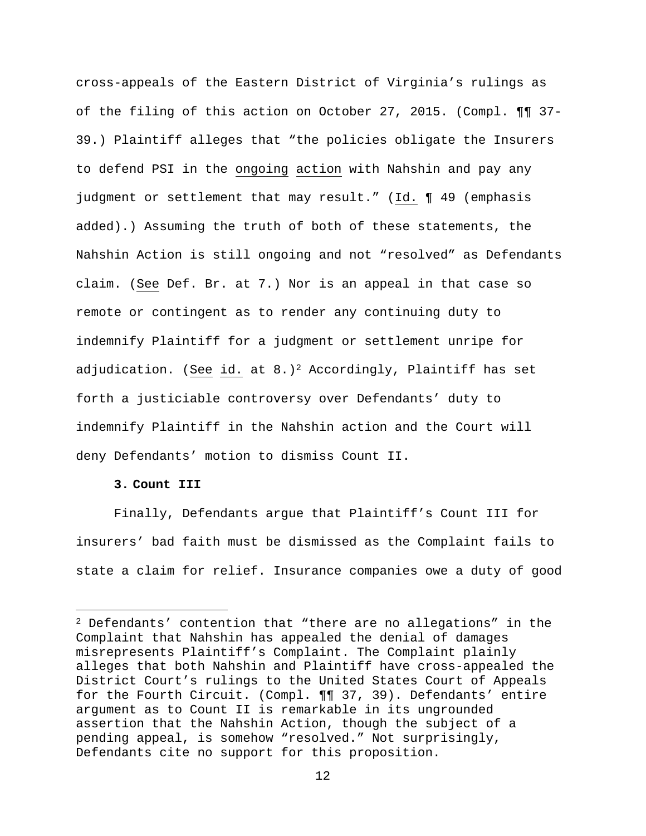cross-appeals of the Eastern District of Virginia's rulings as of the filing of this action on October 27, 2015. (Compl. ¶¶ 37- 39.) Plaintiff alleges that "the policies obligate the Insurers to defend PSI in the ongoing action with Nahshin and pay any judgment or settlement that may result." (Id. ¶ 49 (emphasis added).) Assuming the truth of both of these statements, the Nahshin Action is still ongoing and not "resolved" as Defendants claim. (See Def. Br. at 7.) Nor is an appeal in that case so remote or contingent as to render any continuing duty to indemnify Plaintiff for a judgment or settlement unripe for adjudication. (See id. at  $8.$ )<sup>2</sup> Accordingly, Plaintiff has set forth a justiciable controversy over Defendants' duty to indemnify Plaintiff in the Nahshin action and the Court will deny Defendants' motion to dismiss Count II.

## **3. Count III**

i

 Finally, Defendants argue that Plaintiff's Count III for insurers' bad faith must be dismissed as the Complaint fails to state a claim for relief. Insurance companies owe a duty of good

<sup>2</sup> Defendants' contention that "there are no allegations" in the Complaint that Nahshin has appealed the denial of damages misrepresents Plaintiff's Complaint. The Complaint plainly alleges that both Nahshin and Plaintiff have cross-appealed the District Court's rulings to the United States Court of Appeals for the Fourth Circuit. (Compl. ¶¶ 37, 39). Defendants' entire argument as to Count II is remarkable in its ungrounded assertion that the Nahshin Action, though the subject of a pending appeal, is somehow "resolved." Not surprisingly, Defendants cite no support for this proposition.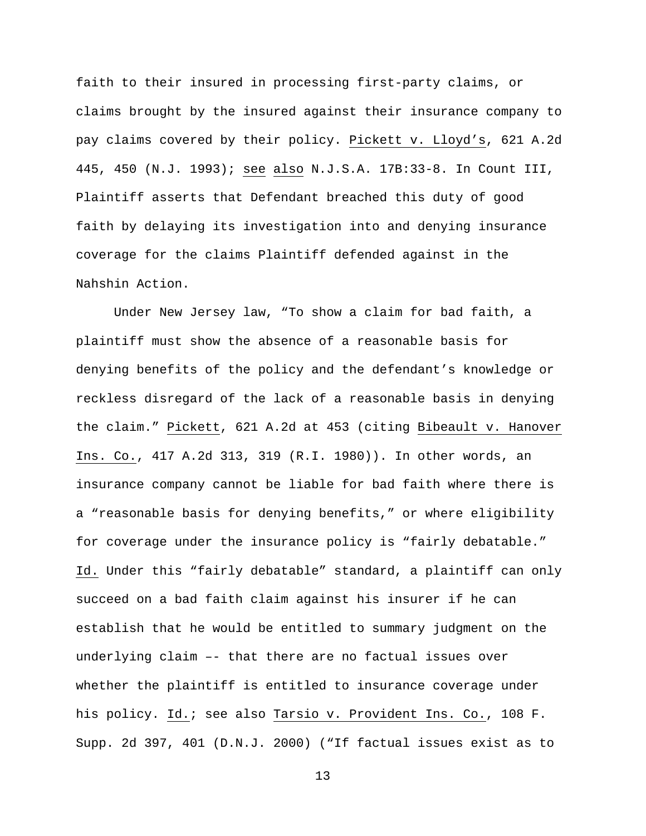faith to their insured in processing first-party claims, or claims brought by the insured against their insurance company to pay claims covered by their policy. Pickett v. Lloyd's, 621 A.2d 445, 450 (N.J. 1993); see also N.J.S.A. 17B:33-8. In Count III, Plaintiff asserts that Defendant breached this duty of good faith by delaying its investigation into and denying insurance coverage for the claims Plaintiff defended against in the Nahshin Action.

 Under New Jersey law, "To show a claim for bad faith, a plaintiff must show the absence of a reasonable basis for denying benefits of the policy and the defendant's knowledge or reckless disregard of the lack of a reasonable basis in denying the claim." Pickett, 621 A.2d at 453 (citing Bibeault v. Hanover Ins. Co., 417 A.2d 313, 319 (R.I. 1980)). In other words, an insurance company cannot be liable for bad faith where there is a "reasonable basis for denying benefits," or where eligibility for coverage under the insurance policy is "fairly debatable." Id. Under this "fairly debatable" standard, a plaintiff can only succeed on a bad faith claim against his insurer if he can establish that he would be entitled to summary judgment on the underlying claim –- that there are no factual issues over whether the plaintiff is entitled to insurance coverage under his policy. Id.; see also Tarsio v. Provident Ins. Co., 108 F. Supp. 2d 397, 401 (D.N.J. 2000) ("If factual issues exist as to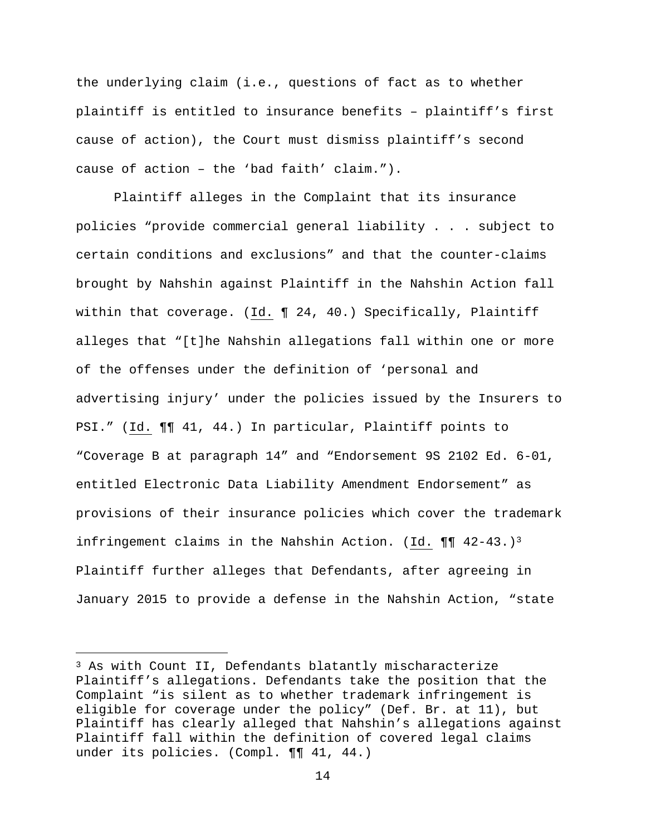the underlying claim (i.e., questions of fact as to whether plaintiff is entitled to insurance benefits – plaintiff's first cause of action), the Court must dismiss plaintiff's second cause of action – the 'bad faith' claim.").

 Plaintiff alleges in the Complaint that its insurance policies "provide commercial general liability . . . subject to certain conditions and exclusions" and that the counter-claims brought by Nahshin against Plaintiff in the Nahshin Action fall within that coverage. (Id. ¶ 24, 40.) Specifically, Plaintiff alleges that "[t]he Nahshin allegations fall within one or more of the offenses under the definition of 'personal and advertising injury' under the policies issued by the Insurers to PSI." (Id. ¶¶ 41, 44.) In particular, Plaintiff points to "Coverage B at paragraph 14" and "Endorsement 9S 2102 Ed. 6-01, entitled Electronic Data Liability Amendment Endorsement" as provisions of their insurance policies which cover the trademark infringement claims in the Nahshin Action. (Id.  $\P\P$  42-43.)<sup>3</sup> Plaintiff further alleges that Defendants, after agreeing in January 2015 to provide a defense in the Nahshin Action, "state

e<br>S

<sup>3</sup> As with Count II, Defendants blatantly mischaracterize Plaintiff's allegations. Defendants take the position that the Complaint "is silent as to whether trademark infringement is eligible for coverage under the policy" (Def. Br. at 11), but Plaintiff has clearly alleged that Nahshin's allegations against Plaintiff fall within the definition of covered legal claims under its policies. (Compl. ¶¶ 41, 44.)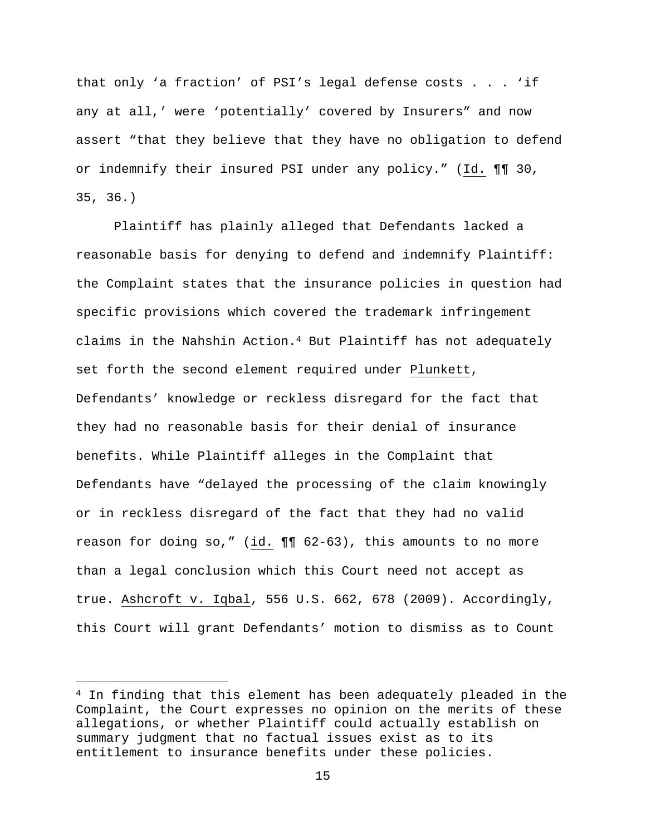that only 'a fraction' of PSI's legal defense costs . . . 'if any at all,' were 'potentially' covered by Insurers" and now assert "that they believe that they have no obligation to defend or indemnify their insured PSI under any policy." (Id. ¶¶ 30, 35, 36.)

 Plaintiff has plainly alleged that Defendants lacked a reasonable basis for denying to defend and indemnify Plaintiff: the Complaint states that the insurance policies in question had specific provisions which covered the trademark infringement claims in the Nahshin Action.4 But Plaintiff has not adequately set forth the second element required under Plunkett, Defendants' knowledge or reckless disregard for the fact that they had no reasonable basis for their denial of insurance benefits. While Plaintiff alleges in the Complaint that Defendants have "delayed the processing of the claim knowingly or in reckless disregard of the fact that they had no valid reason for doing so," (id. ¶¶ 62-63), this amounts to no more than a legal conclusion which this Court need not accept as true. Ashcroft v. Iqbal, 556 U.S. 662, 678 (2009). Accordingly, this Court will grant Defendants' motion to dismiss as to Count

i

<sup>4</sup> In finding that this element has been adequately pleaded in the Complaint, the Court expresses no opinion on the merits of these allegations, or whether Plaintiff could actually establish on summary judgment that no factual issues exist as to its entitlement to insurance benefits under these policies.